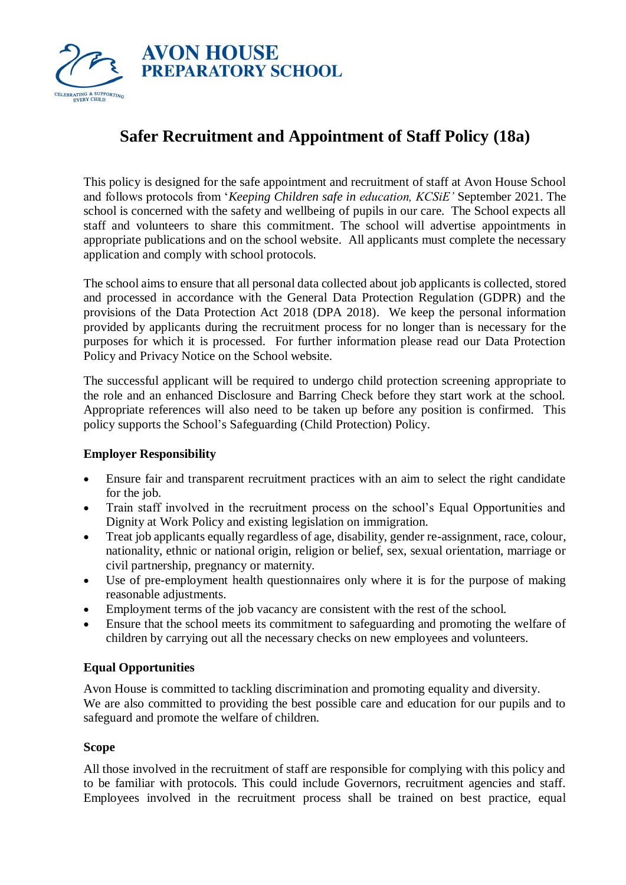

# **Safer Recruitment and Appointment of Staff Policy (18a)**

This policy is designed for the safe appointment and recruitment of staff at Avon House School and follows protocols from '*Keeping Children safe in education, KCSiE'* September 2021. The school is concerned with the safety and wellbeing of pupils in our care. The School expects all staff and volunteers to share this commitment. The school will advertise appointments in appropriate publications and on the school website. All applicants must complete the necessary application and comply with school protocols.

The school aims to ensure that all personal data collected about job applicants is collected, stored and processed in accordance with the General Data Protection Regulation (GDPR) and the provisions of the Data Protection Act 2018 (DPA 2018). We keep the personal information provided by applicants during the recruitment process for no longer than is necessary for the purposes for which it is processed. For further information please read our Data Protection Policy and Privacy Notice on the School website.

The successful applicant will be required to undergo child protection screening appropriate to the role and an enhanced Disclosure and Barring Check before they start work at the school. Appropriate references will also need to be taken up before any position is confirmed. This policy supports the School's Safeguarding (Child Protection) Policy.

## **Employer Responsibility**

- Ensure fair and transparent recruitment practices with an aim to select the right candidate for the job.
- Train staff involved in the recruitment process on the school's Equal Opportunities and Dignity at Work Policy and existing legislation on immigration.
- Treat job applicants equally regardless of age, disability, gender re-assignment, race, colour, nationality, ethnic or national origin, religion or belief, sex, sexual orientation, marriage or civil partnership, pregnancy or maternity.
- Use of pre-employment health questionnaires only where it is for the purpose of making reasonable adjustments.
- Employment terms of the job vacancy are consistent with the rest of the school.
- Ensure that the school meets its commitment to safeguarding and promoting the welfare of children by carrying out all the necessary checks on new employees and volunteers.

## **Equal Opportunities**

Avon House is committed to tackling discrimination and promoting equality and diversity. We are also committed to providing the best possible care and education for our pupils and to safeguard and promote the welfare of children.

## **Scope**

All those involved in the recruitment of staff are responsible for complying with this policy and to be familiar with protocols. This could include Governors, recruitment agencies and staff. Employees involved in the recruitment process shall be trained on best practice, equal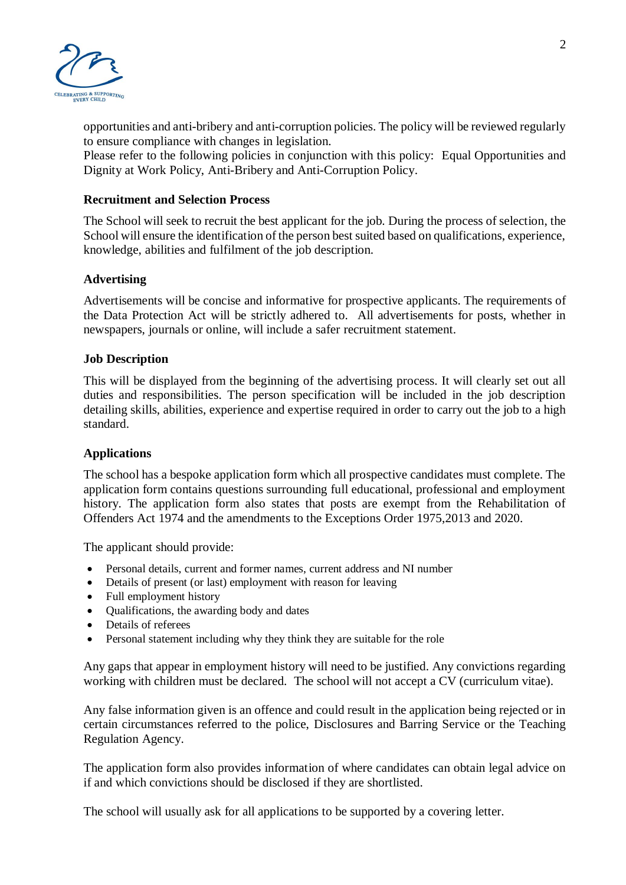

opportunities and anti-bribery and anti-corruption policies. The policy will be reviewed regularly to ensure compliance with changes in legislation.

Please refer to the following policies in conjunction with this policy: Equal Opportunities and Dignity at Work Policy, Anti-Bribery and Anti-Corruption Policy.

#### **Recruitment and Selection Process**

The School will seek to recruit the best applicant for the job. During the process of selection, the School will ensure the identification of the person best suited based on qualifications, experience, knowledge, abilities and fulfilment of the job description.

#### **Advertising**

Advertisements will be concise and informative for prospective applicants. The requirements of the Data Protection Act will be strictly adhered to. All advertisements for posts, whether in newspapers, journals or online, will include a safer recruitment statement.

#### **Job Description**

This will be displayed from the beginning of the advertising process. It will clearly set out all duties and responsibilities. The person specification will be included in the job description detailing skills, abilities, experience and expertise required in order to carry out the job to a high standard.

#### **Applications**

The school has a bespoke application form which all prospective candidates must complete. The application form contains questions surrounding full educational, professional and employment history. The application form also states that posts are exempt from the Rehabilitation of Offenders Act 1974 and the amendments to the Exceptions Order 1975,2013 and 2020.

The applicant should provide:

- Personal details, current and former names, current address and NI number
- Details of present (or last) employment with reason for leaving
- Full employment history
- Qualifications, the awarding body and dates
- Details of referees
- Personal statement including why they think they are suitable for the role

Any gaps that appear in employment history will need to be justified. Any convictions regarding working with children must be declared. The school will not accept a CV (curriculum vitae).

Any false information given is an offence and could result in the application being rejected or in certain circumstances referred to the police, Disclosures and Barring Service or the Teaching Regulation Agency.

The application form also provides information of where candidates can obtain legal advice on if and which convictions should be disclosed if they are shortlisted.

The school will usually ask for all applications to be supported by a covering letter.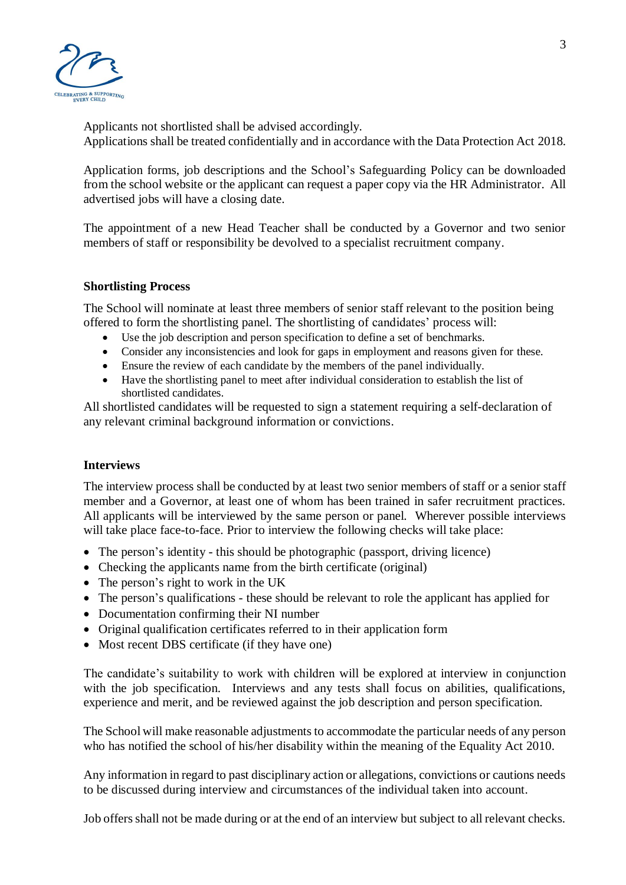

Applicants not shortlisted shall be advised accordingly. Applications shall be treated confidentially and in accordance with the Data Protection Act 2018.

Application forms, job descriptions and the School's Safeguarding Policy can be downloaded from the school website or the applicant can request a paper copy via the HR Administrator. All advertised jobs will have a closing date.

The appointment of a new Head Teacher shall be conducted by a Governor and two senior members of staff or responsibility be devolved to a specialist recruitment company.

#### **Shortlisting Process**

The School will nominate at least three members of senior staff relevant to the position being offered to form the shortlisting panel. The shortlisting of candidates' process will:

- Use the job description and person specification to define a set of benchmarks.
- Consider any inconsistencies and look for gaps in employment and reasons given for these.
- Ensure the review of each candidate by the members of the panel individually.
- Have the shortlisting panel to meet after individual consideration to establish the list of shortlisted candidates.

All shortlisted candidates will be requested to sign a statement requiring a self-declaration of any relevant criminal background information or convictions.

#### **Interviews**

The interview process shall be conducted by at least two senior members of staff or a senior staff member and a Governor, at least one of whom has been trained in safer recruitment practices. All applicants will be interviewed by the same person or panel. Wherever possible interviews will take place face-to-face. Prior to interview the following checks will take place:

- The person's identity this should be photographic (passport, driving licence)
- Checking the applicants name from the birth certificate (original)
- The person's right to work in the UK
- The person's qualifications these should be relevant to role the applicant has applied for
- Documentation confirming their NI number
- Original qualification certificates referred to in their application form
- Most recent DBS certificate (if they have one)

The candidate's suitability to work with children will be explored at interview in conjunction with the job specification. Interviews and any tests shall focus on abilities, qualifications, experience and merit, and be reviewed against the job description and person specification.

The School will make reasonable adjustments to accommodate the particular needs of any person who has notified the school of his/her disability within the meaning of the Equality Act 2010.

Any information in regard to past disciplinary action or allegations, convictions or cautions needs to be discussed during interview and circumstances of the individual taken into account.

Job offers shall not be made during or at the end of an interview but subject to all relevant checks.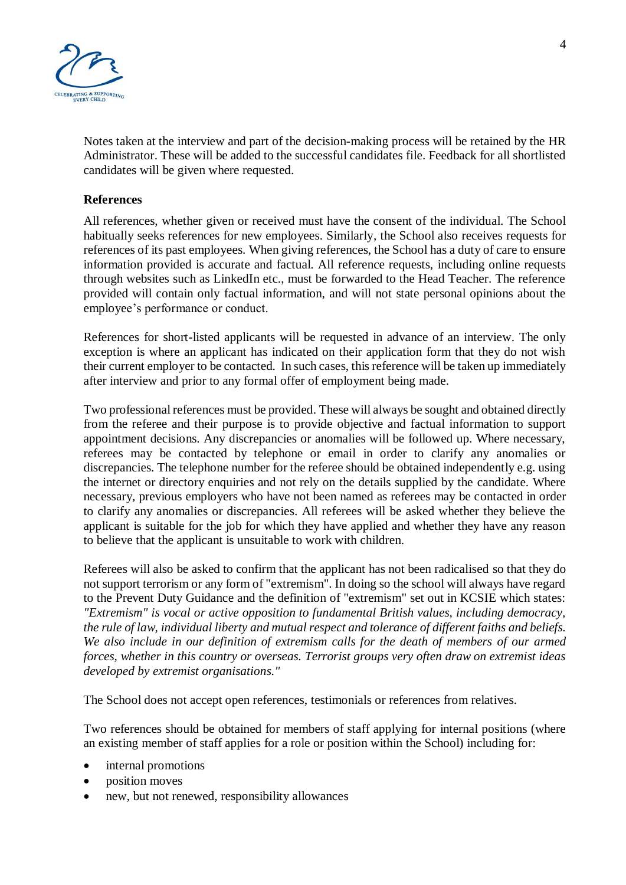

Notes taken at the interview and part of the decision-making process will be retained by the HR Administrator. These will be added to the successful candidates file. Feedback for all shortlisted candidates will be given where requested.

#### **References**

All references, whether given or received must have the consent of the individual. The School habitually seeks references for new employees. Similarly, the School also receives requests for references of its past employees. When giving references, the School has a duty of care to ensure information provided is accurate and factual. All reference requests, including online requests through websites such as LinkedIn etc., must be forwarded to the Head Teacher. The reference provided will contain only factual information, and will not state personal opinions about the employee's performance or conduct.

References for short-listed applicants will be requested in advance of an interview. The only exception is where an applicant has indicated on their application form that they do not wish their current employer to be contacted. In such cases, this reference will be taken up immediately after interview and prior to any formal offer of employment being made.

Two professional references must be provided. These will always be sought and obtained directly from the referee and their purpose is to provide objective and factual information to support appointment decisions. Any discrepancies or anomalies will be followed up. Where necessary, referees may be contacted by telephone or email in order to clarify any anomalies or discrepancies. The telephone number for the referee should be obtained independently e.g. using the internet or directory enquiries and not rely on the details supplied by the candidate. Where necessary, previous employers who have not been named as referees may be contacted in order to clarify any anomalies or discrepancies. All referees will be asked whether they believe the applicant is suitable for the job for which they have applied and whether they have any reason to believe that the applicant is unsuitable to work with children.

Referees will also be asked to confirm that the applicant has not been radicalised so that they do not support terrorism or any form of "extremism". In doing so the school will always have regard to the Prevent Duty Guidance and the definition of "extremism" set out in KCSIE which states: *"Extremism" is vocal or active opposition to fundamental British values, including democracy, the rule of law, individual liberty and mutual respect and tolerance of different faiths and beliefs. We also include in our definition of extremism calls for the death of members of our armed forces, whether in this country or overseas. Terrorist groups very often draw on extremist ideas developed by extremist organisations."*

The School does not accept open references, testimonials or references from relatives.

Two references should be obtained for members of staff applying for internal positions (where an existing member of staff applies for a role or position within the School) including for:

- internal promotions
- position moves
- new, but not renewed, responsibility allowances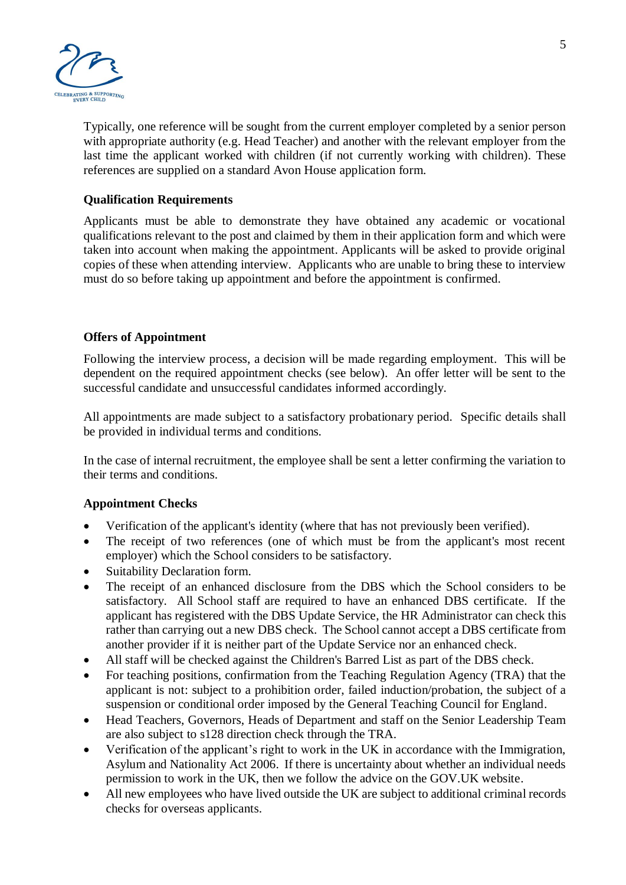

Typically, one reference will be sought from the current employer completed by a senior person with appropriate authority (e.g. Head Teacher) and another with the relevant employer from the last time the applicant worked with children (if not currently working with children). These references are supplied on a standard Avon House application form.

#### **Qualification Requirements**

Applicants must be able to demonstrate they have obtained any academic or vocational qualifications relevant to the post and claimed by them in their application form and which were taken into account when making the appointment. Applicants will be asked to provide original copies of these when attending interview. Applicants who are unable to bring these to interview must do so before taking up appointment and before the appointment is confirmed.

#### **Offers of Appointment**

Following the interview process, a decision will be made regarding employment. This will be dependent on the required appointment checks (see below). An offer letter will be sent to the successful candidate and unsuccessful candidates informed accordingly.

All appointments are made subject to a satisfactory probationary period. Specific details shall be provided in individual terms and conditions.

In the case of internal recruitment, the employee shall be sent a letter confirming the variation to their terms and conditions.

## **Appointment Checks**

- Verification of the applicant's identity (where that has not previously been verified).
- The receipt of two references (one of which must be from the applicant's most recent employer) which the School considers to be satisfactory.
- Suitability Declaration form.
- The receipt of an enhanced disclosure from the DBS which the School considers to be satisfactory. All School staff are required to have an enhanced DBS certificate. If the applicant has registered with the DBS Update Service, the HR Administrator can check this rather than carrying out a new DBS check. The School cannot accept a DBS certificate from another provider if it is neither part of the Update Service nor an enhanced check.
- All staff will be checked against the Children's Barred List as part of the DBS check.
- For teaching positions, confirmation from the Teaching Regulation Agency (TRA) that the applicant is not: subject to a prohibition order, failed induction/probation, the subject of a suspension or conditional order imposed by the General Teaching Council for England.
- Head Teachers, Governors, Heads of Department and staff on the Senior Leadership Team are also subject to s128 direction check through the TRA.
- Verification of the applicant's right to work in the UK in accordance with the Immigration, Asylum and Nationality Act 2006. If there is uncertainty about whether an individual needs permission to work in the UK, then we follow the advice on the GOV.UK website.
- All new employees who have lived outside the UK are subject to additional criminal records checks for overseas applicants.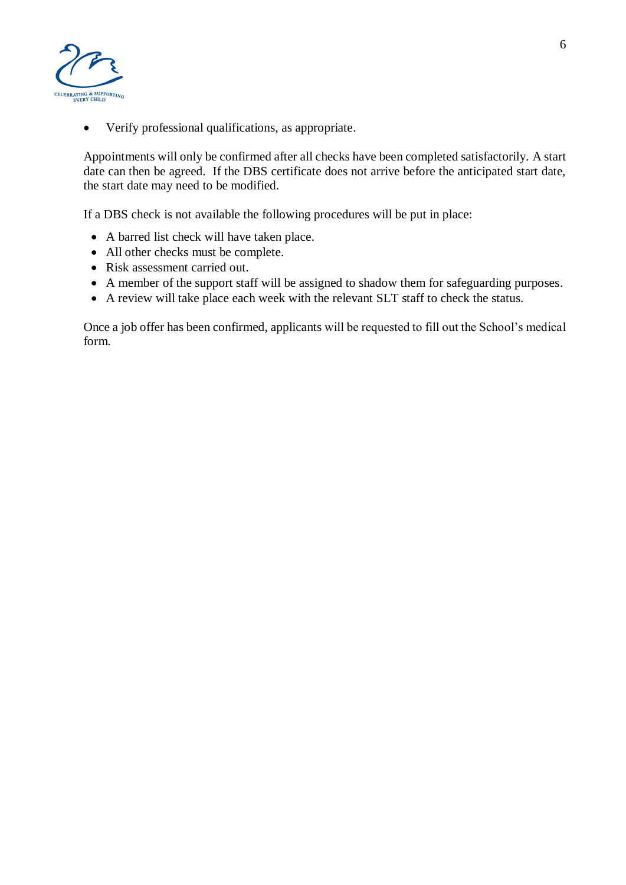

• Verify professional qualifications, as appropriate.

Appointments will only be confirmed after all checks have been completed satisfactorily. A start date can then be agreed. If the DBS certificate does not arrive before the anticipated start date, the start date may need to be modified.

If a DBS check is not available the following procedures will be put in place:

- A barred list check will have taken place.
- All other checks must be complete.
- Risk assessment carried out.
- A member of the support staff will be assigned to shadow them for safeguarding purposes.
- A review will take place each week with the relevant SLT staff to check the status.

Once a job offer has been confirmed, applicants will be requested to fill out the School's medical form.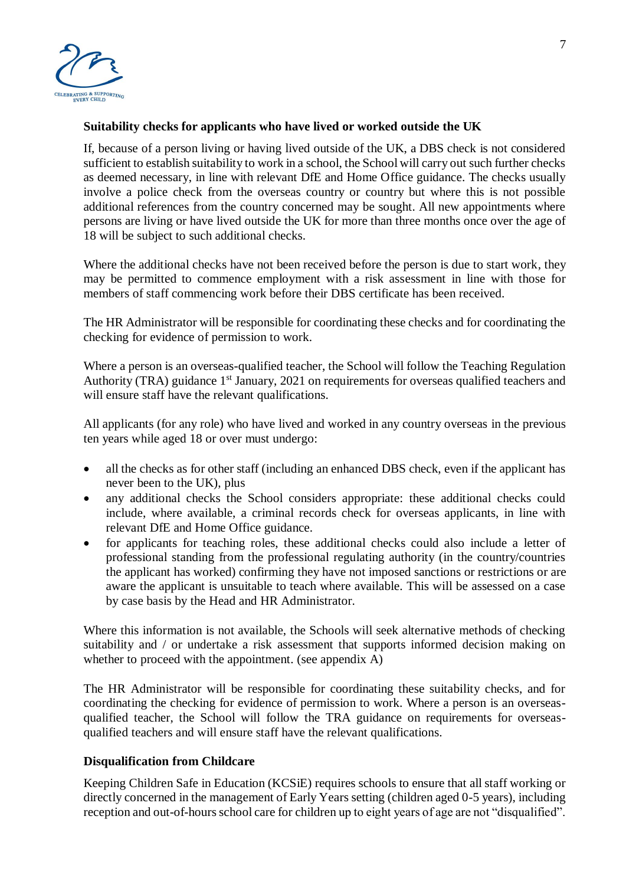

#### **Suitability checks for applicants who have lived or worked outside the UK**

If, because of a person living or having lived outside of the UK, a DBS check is not considered sufficient to establish suitability to work in a school, the School will carry out such further checks as deemed necessary, in line with relevant DfE and Home Office guidance. The checks usually involve a police check from the overseas country or country but where this is not possible additional references from the country concerned may be sought. All new appointments where persons are living or have lived outside the UK for more than three months once over the age of 18 will be subject to such additional checks.

Where the additional checks have not been received before the person is due to start work, they may be permitted to commence employment with a risk assessment in line with those for members of staff commencing work before their DBS certificate has been received.

The HR Administrator will be responsible for coordinating these checks and for coordinating the checking for evidence of permission to work.

Where a person is an overseas-qualified teacher, the School will follow the Teaching Regulation Authority (TRA) guidance  $1<sup>st</sup>$  January, 2021 on requirements for overseas qualified teachers and will ensure staff have the relevant qualifications.

All applicants (for any role) who have lived and worked in any country overseas in the previous ten years while aged 18 or over must undergo:

- all the checks as for other staff (including an enhanced DBS check, even if the applicant has never been to the UK), plus
- any additional checks the School considers appropriate: these additional checks could include, where available, a criminal records check for overseas applicants, in line with relevant DfE and Home Office guidance.
- for applicants for teaching roles, these additional checks could also include a letter of professional standing from the professional regulating authority (in the country/countries the applicant has worked) confirming they have not imposed sanctions or restrictions or are aware the applicant is unsuitable to teach where available. This will be assessed on a case by case basis by the Head and HR Administrator.

Where this information is not available, the Schools will seek alternative methods of checking suitability and / or undertake a risk assessment that supports informed decision making on whether to proceed with the appointment. (see appendix A)

The HR Administrator will be responsible for coordinating these suitability checks, and for coordinating the checking for evidence of permission to work. Where a person is an overseasqualified teacher, the School will follow the TRA guidance on requirements for overseasqualified teachers and will ensure staff have the relevant qualifications.

## **Disqualification from Childcare**

Keeping Children Safe in Education (KCSiE) requires schools to ensure that all staff working or directly concerned in the management of Early Years setting (children aged 0-5 years), including reception and out-of-hours school care for children up to eight years of age are not "disqualified".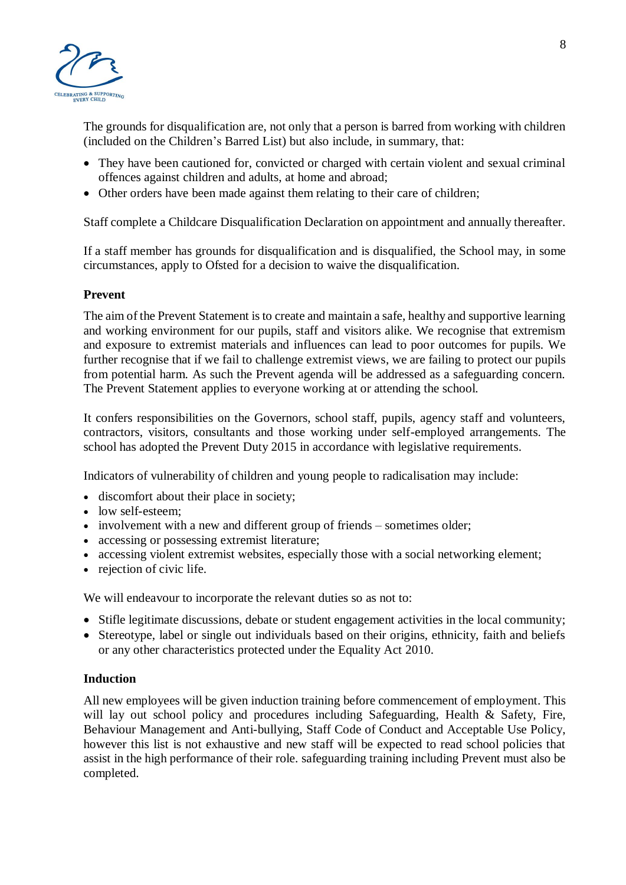

The grounds for disqualification are, not only that a person is barred from working with children (included on the Children's Barred List) but also include, in summary, that:

- They have been cautioned for, convicted or charged with certain violent and sexual criminal offences against children and adults, at home and abroad;
- Other orders have been made against them relating to their care of children;

Staff complete a Childcare Disqualification Declaration on appointment and annually thereafter.

If a staff member has grounds for disqualification and is disqualified, the School may, in some circumstances, apply to Ofsted for a decision to waive the disqualification.

## **Prevent**

The aim of the Prevent Statement is to create and maintain a safe, healthy and supportive learning and working environment for our pupils, staff and visitors alike. We recognise that extremism and exposure to extremist materials and influences can lead to poor outcomes for pupils. We further recognise that if we fail to challenge extremist views, we are failing to protect our pupils from potential harm. As such the Prevent agenda will be addressed as a safeguarding concern. The Prevent Statement applies to everyone working at or attending the school.

It confers responsibilities on the Governors, school staff, pupils, agency staff and volunteers, contractors, visitors, consultants and those working under self-employed arrangements. The school has adopted the Prevent Duty 2015 in accordance with legislative requirements.

Indicators of vulnerability of children and young people to radicalisation may include:

- discomfort about their place in society;
- low self-esteem:
- involvement with a new and different group of friends sometimes older;
- accessing or possessing extremist literature;
- accessing violent extremist websites, especially those with a social networking element;
- rejection of civic life.

We will endeavour to incorporate the relevant duties so as not to:

- Stifle legitimate discussions, debate or student engagement activities in the local community;
- Stereotype, label or single out individuals based on their origins, ethnicity, faith and beliefs or any other characteristics protected under the Equality Act 2010.

## **Induction**

All new employees will be given induction training before commencement of employment. This will lay out school policy and procedures including Safeguarding, Health & Safety, Fire, Behaviour Management and Anti-bullying, Staff Code of Conduct and Acceptable Use Policy, however this list is not exhaustive and new staff will be expected to read school policies that assist in the high performance of their role. safeguarding training including Prevent must also be completed.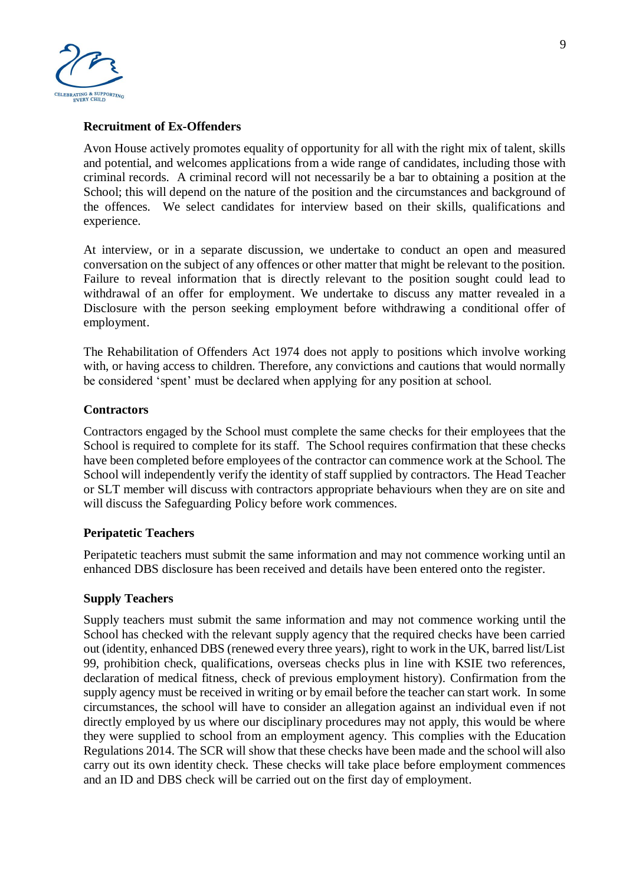

## **Recruitment of Ex-Offenders**

Avon House actively promotes equality of opportunity for all with the right mix of talent, skills and potential, and welcomes applications from a wide range of candidates, including those with criminal records. A criminal record will not necessarily be a bar to obtaining a position at the School; this will depend on the nature of the position and the circumstances and background of the offences. We select candidates for interview based on their skills, qualifications and experience.

At interview, or in a separate discussion, we undertake to conduct an open and measured conversation on the subject of any offences or other matter that might be relevant to the position. Failure to reveal information that is directly relevant to the position sought could lead to withdrawal of an offer for employment. We undertake to discuss any matter revealed in a Disclosure with the person seeking employment before withdrawing a conditional offer of employment.

The Rehabilitation of Offenders Act 1974 does not apply to positions which involve working with, or having access to children. Therefore, any convictions and cautions that would normally be considered 'spent' must be declared when applying for any position at school.

#### **Contractors**

Contractors engaged by the School must complete the same checks for their employees that the School is required to complete for its staff. The School requires confirmation that these checks have been completed before employees of the contractor can commence work at the School. The School will independently verify the identity of staff supplied by contractors. The Head Teacher or SLT member will discuss with contractors appropriate behaviours when they are on site and will discuss the Safeguarding Policy before work commences.

#### **Peripatetic Teachers**

Peripatetic teachers must submit the same information and may not commence working until an enhanced DBS disclosure has been received and details have been entered onto the register.

#### **Supply Teachers**

Supply teachers must submit the same information and may not commence working until the School has checked with the relevant supply agency that the required checks have been carried out (identity, enhanced DBS (renewed every three years), right to work in the UK, barred list/List 99, prohibition check, qualifications, overseas checks plus in line with KSIE two references, declaration of medical fitness, check of previous employment history). Confirmation from the supply agency must be received in writing or by email before the teacher can start work. In some circumstances, the school will have to consider an allegation against an individual even if not directly employed by us where our disciplinary procedures may not apply, this would be where they were supplied to school from an employment agency. This complies with the Education Regulations 2014. The SCR will show that these checks have been made and the school will also carry out its own identity check. These checks will take place before employment commences and an ID and DBS check will be carried out on the first day of employment.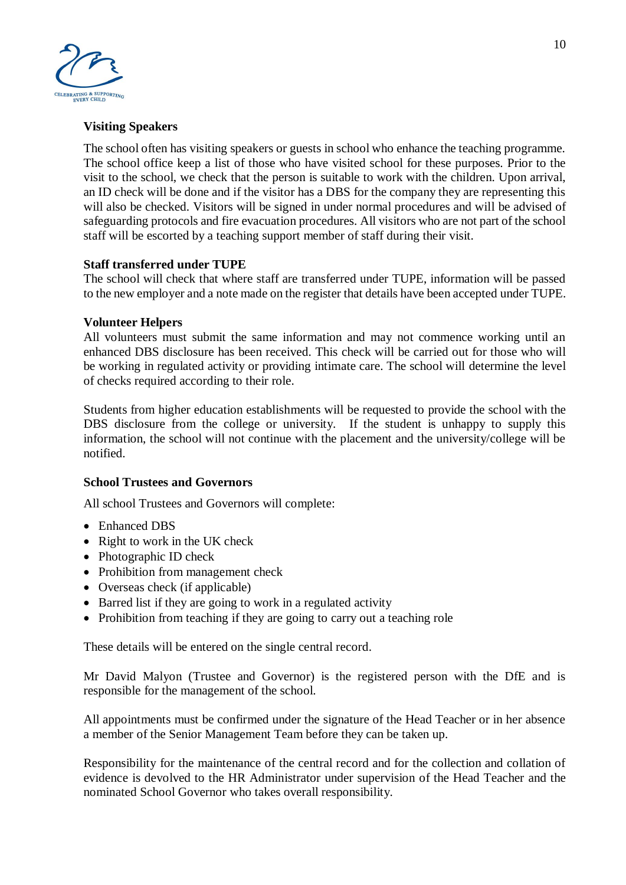

## **Visiting Speakers**

The school often has visiting speakers or guests in school who enhance the teaching programme. The school office keep a list of those who have visited school for these purposes. Prior to the visit to the school, we check that the person is suitable to work with the children. Upon arrival, an ID check will be done and if the visitor has a DBS for the company they are representing this will also be checked. Visitors will be signed in under normal procedures and will be advised of safeguarding protocols and fire evacuation procedures. All visitors who are not part of the school staff will be escorted by a teaching support member of staff during their visit.

## **Staff transferred under TUPE**

The school will check that where staff are transferred under TUPE, information will be passed to the new employer and a note made on the register that details have been accepted under TUPE.

#### **Volunteer Helpers**

All volunteers must submit the same information and may not commence working until an enhanced DBS disclosure has been received. This check will be carried out for those who will be working in regulated activity or providing intimate care. The school will determine the level of checks required according to their role.

Students from higher education establishments will be requested to provide the school with the DBS disclosure from the college or university. If the student is unhappy to supply this information, the school will not continue with the placement and the university/college will be notified.

#### **School Trustees and Governors**

All school Trustees and Governors will complete:

- Enhanced DBS
- Right to work in the UK check
- Photographic ID check
- Prohibition from management check
- Overseas check (if applicable)
- Barred list if they are going to work in a regulated activity
- Prohibition from teaching if they are going to carry out a teaching role

These details will be entered on the single central record.

Mr David Malyon (Trustee and Governor) is the registered person with the DfE and is responsible for the management of the school.

All appointments must be confirmed under the signature of the Head Teacher or in her absence a member of the Senior Management Team before they can be taken up.

Responsibility for the maintenance of the central record and for the collection and collation of evidence is devolved to the HR Administrator under supervision of the Head Teacher and the nominated School Governor who takes overall responsibility.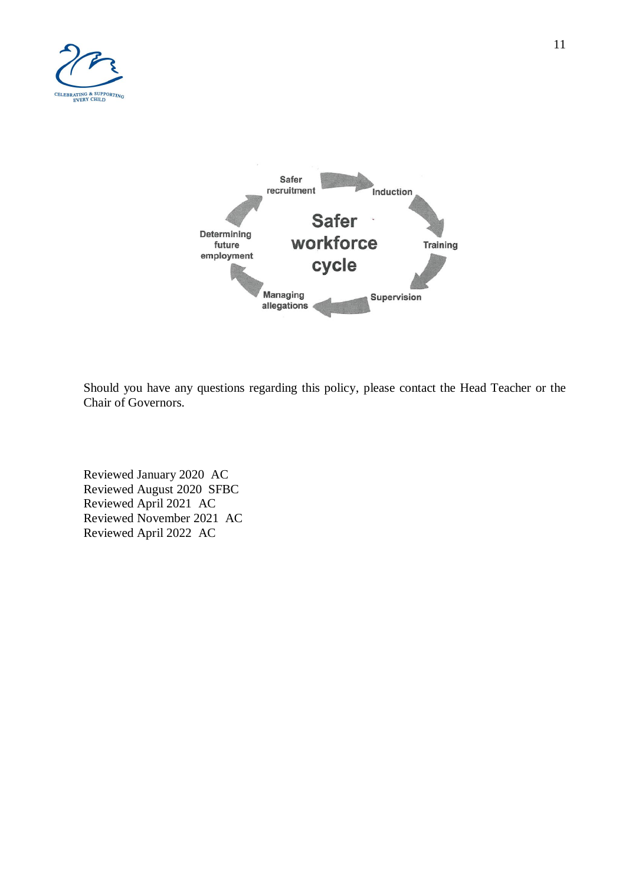



Should you have any questions regarding this policy, please contact the Head Teacher or the Chair of Governors.

Reviewed January 2020 AC Reviewed August 2020 SFBC Reviewed April 2021 AC Reviewed November 2021 AC Reviewed April 2022 AC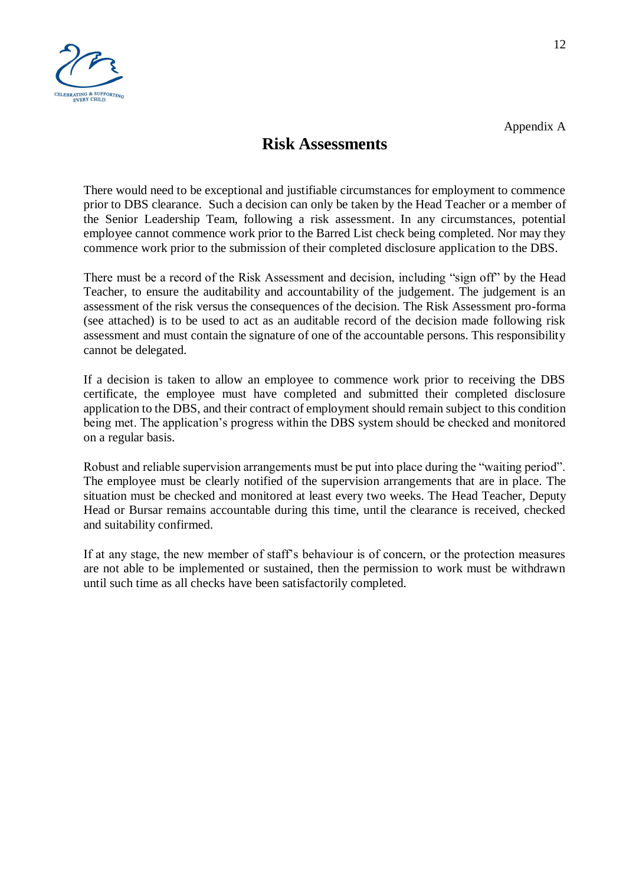

## **Risk Assessments**

There would need to be exceptional and justifiable circumstances for employment to commence prior to DBS clearance. Such a decision can only be taken by the Head Teacher or a member of the Senior Leadership Team, following a risk assessment. In any circumstances, potential employee cannot commence work prior to the Barred List check being completed. Nor may they commence work prior to the submission of their completed disclosure application to the DBS.

There must be a record of the Risk Assessment and decision, including "sign off" by the Head Teacher, to ensure the auditability and accountability of the judgement. The judgement is an assessment of the risk versus the consequences of the decision. The Risk Assessment pro-forma (see attached) is to be used to act as an auditable record of the decision made following risk assessment and must contain the signature of one of the accountable persons. This responsibility cannot be delegated.

If a decision is taken to allow an employee to commence work prior to receiving the DBS certificate, the employee must have completed and submitted their completed disclosure application to the DBS, and their contract of employment should remain subject to this condition being met. The application's progress within the DBS system should be checked and monitored on a regular basis.

Robust and reliable supervision arrangements must be put into place during the "waiting period". The employee must be clearly notified of the supervision arrangements that are in place. The situation must be checked and monitored at least every two weeks. The Head Teacher, Deputy Head or Bursar remains accountable during this time, until the clearance is received, checked and suitability confirmed.

If at any stage, the new member of staff's behaviour is of concern, or the protection measures are not able to be implemented or sustained, then the permission to work must be withdrawn until such time as all checks have been satisfactorily completed.

Appendix A